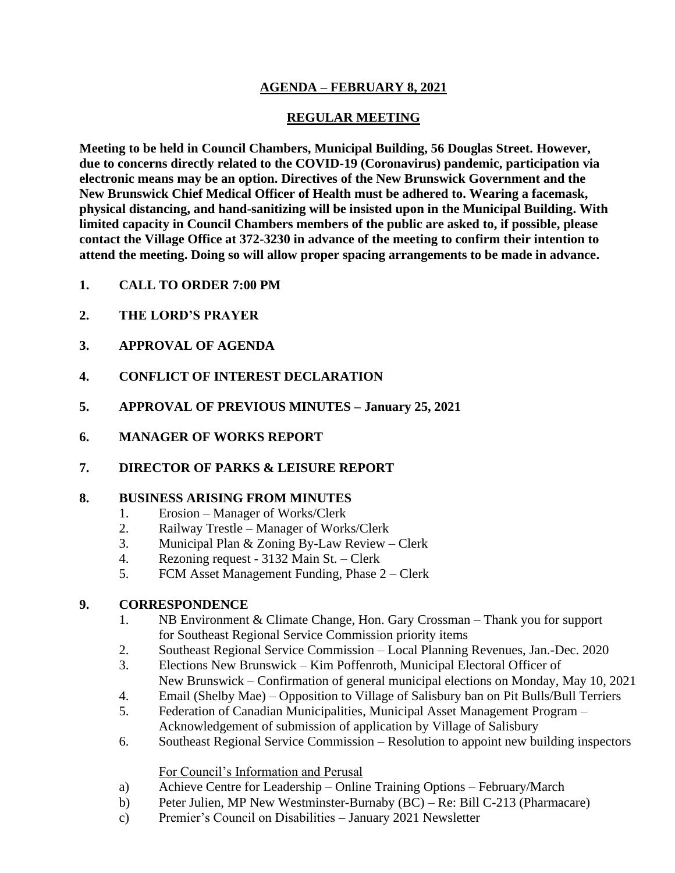# **AGENDA – FEBRUARY 8, 2021**

# **REGULAR MEETING**

**Meeting to be held in Council Chambers, Municipal Building, 56 Douglas Street. However, due to concerns directly related to the COVID-19 (Coronavirus) pandemic, participation via electronic means may be an option. Directives of the New Brunswick Government and the New Brunswick Chief Medical Officer of Health must be adhered to. Wearing a facemask, physical distancing, and hand-sanitizing will be insisted upon in the Municipal Building. With limited capacity in Council Chambers members of the public are asked to, if possible, please contact the Village Office at 372-3230 in advance of the meeting to confirm their intention to attend the meeting. Doing so will allow proper spacing arrangements to be made in advance.**

- **1. CALL TO ORDER 7:00 PM**
- **2. THE LORD'S PRAYER**
- **3. APPROVAL OF AGENDA**
- **4. CONFLICT OF INTEREST DECLARATION**
- **5. APPROVAL OF PREVIOUS MINUTES – January 25, 2021**
- **6. MANAGER OF WORKS REPORT**
- **7. DIRECTOR OF PARKS & LEISURE REPORT**

#### **8. BUSINESS ARISING FROM MINUTES**

- 1. Erosion Manager of Works/Clerk
- 2. Railway Trestle Manager of Works/Clerk
- 3. Municipal Plan & Zoning By-Law Review Clerk
- 4. Rezoning request 3132 Main St. Clerk
- 5. FCM Asset Management Funding, Phase 2 Clerk

### **9. CORRESPONDENCE**

- 1. NB Environment & Climate Change, Hon. Gary Crossman Thank you for support for Southeast Regional Service Commission priority items
- 2. Southeast Regional Service Commission Local Planning Revenues, Jan.-Dec. 2020
- 3. Elections New Brunswick Kim Poffenroth, Municipal Electoral Officer of New Brunswick – Confirmation of general municipal elections on Monday, May 10, 2021
- 4. Email (Shelby Mae) Opposition to Village of Salisbury ban on Pit Bulls/Bull Terriers
- 5. Federation of Canadian Municipalities, Municipal Asset Management Program Acknowledgement of submission of application by Village of Salisbury
- 6. Southeast Regional Service Commission Resolution to appoint new building inspectors

### For Council's Information and Perusal

- a) Achieve Centre for Leadership Online Training Options February/March
- b) Peter Julien, MP New Westminster-Burnaby (BC) Re: Bill C-213 (Pharmacare)
- c) Premier's Council on Disabilities January 2021 Newsletter